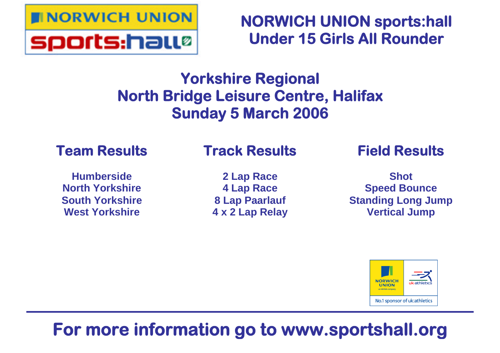

**NORWICH UNION sports:hall Under 15 Girls All Rounder**

# **Yorkshire Regional North Bridge Leisure Centre, Halifax Sunday 5 March 2006**

## **Team Results**

## **Track Results**

**Humberside North Yorkshire South Yorkshire West Yorkshire**

**2 Lap Race 4 Lap Race 8 Lap Paarlauf 4 x 2 Lap Relay** **Field Results**

**Shot Speed Bounce Standing Long Jump Vertical Jump**



# **For more information go to www.sportshall.org**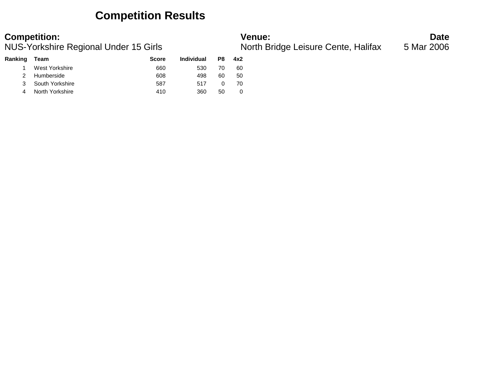## **Competition Results**

### **Competition: Venue: Date**

NUS-Yorkshire Regional Under 15 Girls North Bridge Leisure Cente, Halifax 5 Mar 2006

| Ranking | Team              | <b>Score</b> | <b>Individual</b> | P8 | 4x2 |
|---------|-------------------|--------------|-------------------|----|-----|
|         | West Yorkshire    | 660          | 530               | 70 | 60  |
|         | 2 Humberside      | 608          | 498               | 60 | 50  |
|         | 3 South Yorkshire | 587          | 517               |    | 70  |
|         | North Yorkshire   | 410          | 360               | 50 |     |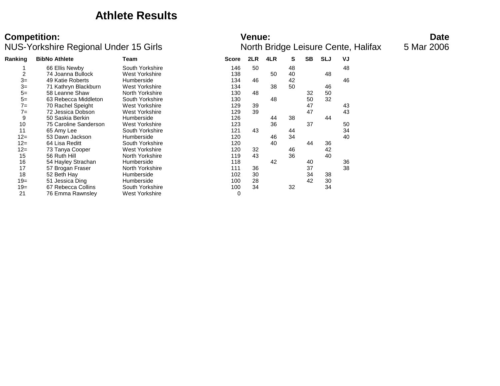## **Athlete Results**

| Ranking | <b>BibNo Athlete</b>  | Team            | <b>Score</b> | 2LR | 4LR | S  | <b>SB</b> | <b>SLJ</b> | VJ |
|---------|-----------------------|-----------------|--------------|-----|-----|----|-----------|------------|----|
|         | 66 Ellis Newby        | South Yorkshire | 146          | 50  |     | 48 |           |            | 48 |
| 2       | 74 Joanna Bullock     | West Yorkshire  | 138          |     | 50  | 40 |           | 48         |    |
| $3=$    | 49 Katie Roberts      | Humberside      | 134          | 46  |     | 42 |           |            | 46 |
| $3=$    | 71 Kathryn Blackburn  | West Yorkshire  | 134          |     | 38  | 50 |           | 46         |    |
| $5=$    | 58 Leanne Shaw        | North Yorkshire | 130          | 48  |     |    | 32        | 50         |    |
| $5=$    | 63 Rebecca Middleton  | South Yorkshire | 130          |     | 48  |    | 50        | 32         |    |
| $7=$    | 70 Rachel Speight     | West Yorkshire  | 129          | 39  |     |    | 47        |            | 43 |
| $7=$    | 72 Jessica Dobson     | West Yorkshire  | 129          | 39  |     |    | 47        |            | 43 |
| 9       | 50 Saskia Berkin      | Humberside      | 126          |     | 44  | 38 |           | 44         |    |
| 10      | 75 Caroline Sanderson | West Yorkshire  | 123          |     | 36  |    | 37        |            | 50 |
| 11      | 65 Amy Lee            | South Yorkshire | 121          | 43  |     | 44 |           |            | 34 |
| $12 =$  | 53 Dawn Jackson       | Humberside      | 120          |     | 46  | 34 |           |            | 40 |
| $12 =$  | 64 Lisa Reditt        | South Yorkshire | 120          |     | 40  |    | 44        | 36         |    |
| $12 =$  | 73 Tanya Cooper       | West Yorkshire  | 120          | 32  |     | 46 |           | 42         |    |
| 15      | 56 Ruth Hill          | North Yorkshire | 119          | 43  |     | 36 |           | 40         |    |
| 16      | 54 Hayley Strachan    | Humberside      | 118          |     | 42  |    | 40        |            | 36 |
| 17      | 57 Brogan Fraser      | North Yorkshire | 111          | 36  |     |    | 37        |            | 38 |
| 18      | 52 Beth Hay           | Humberside      | 102          | 30  |     |    | 34        | 38         |    |
| $19=$   | 51 Jessica Ding       | Humberside      | 100          | 28  |     |    | 42        | 30         |    |
| $19=$   | 67 Rebecca Collins    | South Yorkshire | 100          | 34  |     | 32 |           | 34         |    |
| 21      | 76 Emma Rawnsley      | West Yorkshire  | $\mathbf 0$  |     |     |    |           |            |    |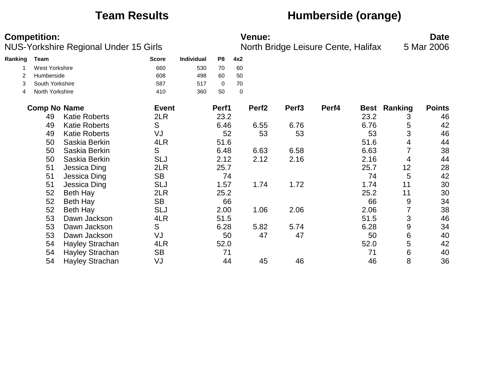## **Team Results Humberside (orange)**

|         | <b>Competition:</b>   | <b>NUS-Yorkshire Regional Under 15 Girls</b> |              |                   |       |     | <b>Venue:</b>     |                   | North Bridge Leisure Cente, Halifax |             |         | <b>Date</b><br>5 Mar 2006 |
|---------|-----------------------|----------------------------------------------|--------------|-------------------|-------|-----|-------------------|-------------------|-------------------------------------|-------------|---------|---------------------------|
| Ranking | Team                  |                                              | <b>Score</b> | <b>Individual</b> | P8    | 4x2 |                   |                   |                                     |             |         |                           |
|         | <b>West Yorkshire</b> |                                              | 660          | 530               | 70    | 60  |                   |                   |                                     |             |         |                           |
| 2       | Humberside            |                                              | 608          | 498               | 60    | 50  |                   |                   |                                     |             |         |                           |
| 3       | South Yorkshire       |                                              | 587          | 517               | 0     | 70  |                   |                   |                                     |             |         |                           |
| 4       | North Yorkshire       |                                              | 410          | 360               | 50    | 0   |                   |                   |                                     |             |         |                           |
|         | <b>Comp No Name</b>   |                                              | <b>Event</b> |                   | Perf1 |     | Perf <sub>2</sub> | Perf <sub>3</sub> | Perf4                               | <b>Best</b> | Ranking | <b>Points</b>             |
|         | 49                    | <b>Katie Roberts</b>                         | 2LR          |                   | 23.2  |     |                   |                   |                                     | 23.2        | 3       | 46                        |
|         | 49                    | <b>Katie Roberts</b>                         | S            |                   | 6.46  |     | 6.55              | 6.76              |                                     | 6.76        | 5       | 42                        |
|         | 49                    | <b>Katie Roberts</b>                         | VJ           |                   | 52    |     | 53                | 53                |                                     | 53          | 3       | 46                        |
|         | 50                    | Saskia Berkin                                | 4LR          |                   | 51.6  |     |                   |                   |                                     | 51.6        | 4       | 44                        |
|         | 50                    | Saskia Berkin                                | S            |                   | 6.48  |     | 6.63              | 6.58              |                                     | 6.63        | 7       | 38                        |
|         | 50                    | Saskia Berkin                                | SLJ          |                   | 2.12  |     | 2.12              | 2.16              |                                     | 2.16        | 4       | 44                        |
|         | 51                    | Jessica Ding                                 | 2LR          |                   | 25.7  |     |                   |                   |                                     | 25.7        | 12      | 28                        |
|         | 51                    | Jessica Ding                                 | <b>SB</b>    |                   | 74    |     |                   |                   |                                     | 74          | 5       | 42                        |
|         | 51                    | Jessica Ding                                 | SLJ          |                   | 1.57  |     | 1.74              | 1.72              |                                     | 1.74        | 11      | 30                        |
|         | 52                    | Beth Hay                                     | 2LR          |                   | 25.2  |     |                   |                   |                                     | 25.2        | 11      | 30                        |
|         | 52                    | <b>Beth Hay</b>                              | <b>SB</b>    |                   | 66    |     |                   |                   |                                     | 66          | 9       | 34                        |
|         | 52                    | Beth Hay                                     | <b>SLJ</b>   |                   | 2.00  |     | 1.06              | 2.06              |                                     | 2.06        | 7       | 38                        |
|         | 53                    | Dawn Jackson                                 | 4LR          |                   | 51.5  |     |                   |                   |                                     | 51.5        | 3       | 46                        |
|         | 53                    | Dawn Jackson                                 | S            |                   | 6.28  |     | 5.82              | 5.74              |                                     | 6.28        | 9       | 34                        |
|         | 53                    | Dawn Jackson                                 | VJ           |                   | 50    |     | 47                | 47                |                                     | 50          | 6       | 40                        |
|         | 54                    | Hayley Strachan                              | 4LR          |                   | 52.0  |     |                   |                   |                                     | 52.0        | 5       | 42                        |
|         | 54                    | <b>Hayley Strachan</b>                       | <b>SB</b>    |                   | 71    |     |                   |                   |                                     | 71          | 6       | 40                        |
|         | 54                    | Hayley Strachan                              | VJ           |                   | 44    |     | 45                | 46                |                                     | 46          | 8       | 36                        |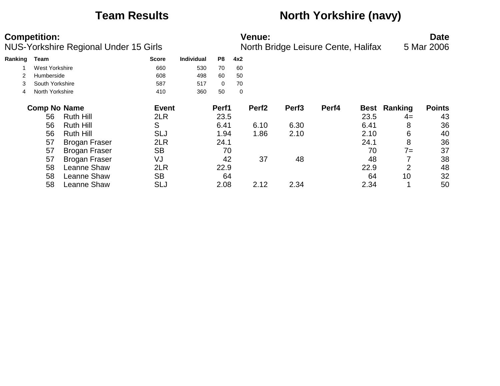## **Team Results North Yorkshire (navy)**

|         | <b>Competition:</b><br>NUS-Yorkshire Regional Under 15 Girls |                      |              |                   |                | <b>Venue:</b><br>North Bridge Leisure Cente, Halifax |                   |                   |       |             |         | <b>Date</b><br>5 Mar 2006 |
|---------|--------------------------------------------------------------|----------------------|--------------|-------------------|----------------|------------------------------------------------------|-------------------|-------------------|-------|-------------|---------|---------------------------|
| Ranking | Team                                                         |                      | <b>Score</b> | <b>Individual</b> | P <sub>8</sub> | 4x2                                                  |                   |                   |       |             |         |                           |
|         | West Yorkshire                                               |                      | 660          | 530               | 70             | 60                                                   |                   |                   |       |             |         |                           |
|         | Humberside                                                   |                      | 608          | 498               | 60             | 50                                                   |                   |                   |       |             |         |                           |
| 3       | South Yorkshire                                              |                      | 587          | 517               | $\mathbf{0}$   | 70                                                   |                   |                   |       |             |         |                           |
| 4       | North Yorkshire                                              |                      | 410          | 360               | 50             | 0                                                    |                   |                   |       |             |         |                           |
|         | <b>Comp No Name</b>                                          |                      | <b>Event</b> |                   | Perf1          |                                                      | Perf <sub>2</sub> | Perf <sub>3</sub> | Perf4 | <b>Best</b> | Ranking | <b>Points</b>             |
|         | 56                                                           | <b>Ruth Hill</b>     | 2LR          |                   | 23.5           |                                                      |                   |                   |       | 23.5        | $4=$    | 43                        |
|         | 56                                                           | <b>Ruth Hill</b>     | S            |                   | 6.41           |                                                      | 6.10              | 6.30              |       | 6.41        | 8       | 36                        |
|         | 56                                                           | <b>Ruth Hill</b>     | <b>SLJ</b>   |                   | 1.94           |                                                      | 1.86              | 2.10              |       | 2.10        | 6       | 40                        |
|         | 57                                                           | <b>Brogan Fraser</b> | 2LR          |                   | 24.1           |                                                      |                   |                   |       | 24.1        | 8       | 36                        |
|         | 57                                                           | <b>Brogan Fraser</b> | <b>SB</b>    |                   | 70             |                                                      |                   |                   |       | 70          | $7 =$   | 37                        |
|         | 57                                                           | <b>Brogan Fraser</b> | VJ           |                   | 42             |                                                      | 37                | 48                |       | 48          |         | 38                        |
|         | 58                                                           | Leanne Shaw          | 2LR          |                   | 22.9           |                                                      |                   |                   |       | 22.9        | 2       | 48                        |
|         | 58                                                           | Leanne Shaw          | <b>SB</b>    |                   | 64             |                                                      |                   |                   |       | 64          | 10      | 32                        |
|         | 58                                                           | <b>Leanne Shaw</b>   | <b>SLJ</b>   |                   | 2.08           |                                                      | 2.12              | 2.34              |       | 2.34        |         | 50                        |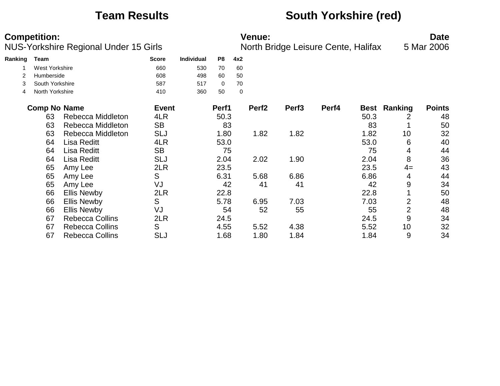## **Team Results South Yorkshire (red)**

|         | <b>Competition:</b>   |                                              |              |                   |       |     | <b>Venue:</b>     |                                     |       |             |                | <b>Date</b>   |
|---------|-----------------------|----------------------------------------------|--------------|-------------------|-------|-----|-------------------|-------------------------------------|-------|-------------|----------------|---------------|
|         |                       | <b>NUS-Yorkshire Regional Under 15 Girls</b> |              |                   |       |     |                   | North Bridge Leisure Cente, Halifax |       |             |                | 5 Mar 2006    |
| Ranking | <b>Team</b>           |                                              | <b>Score</b> | <b>Individual</b> | P8    | 4x2 |                   |                                     |       |             |                |               |
|         | <b>West Yorkshire</b> |                                              | 660          | 530               | 70    | 60  |                   |                                     |       |             |                |               |
|         | Humberside            |                                              | 608          | 498               | 60    | 50  |                   |                                     |       |             |                |               |
| 3       | South Yorkshire       |                                              | 587          | 517               | 0     | 70  |                   |                                     |       |             |                |               |
| 4       | North Yorkshire       |                                              | 410          | 360               | 50    | 0   |                   |                                     |       |             |                |               |
|         | <b>Comp No Name</b>   |                                              | <b>Event</b> |                   | Perf1 |     | Perf <sub>2</sub> | Perf <sub>3</sub>                   | Perf4 | <b>Best</b> | Ranking        | <b>Points</b> |
|         | 63                    | Rebecca Middleton                            | 4LR          |                   | 50.3  |     |                   |                                     |       | 50.3        | 2              | 48            |
|         | 63                    | Rebecca Middleton                            | <b>SB</b>    |                   | 83    |     |                   |                                     |       | 83          |                | 50            |
|         | 63                    | Rebecca Middleton                            | <b>SLJ</b>   |                   | 1.80  |     | 1.82              | 1.82                                |       | 1.82        | 10             | 32            |
|         | 64                    | Lisa Reditt                                  | 4LR          |                   | 53.0  |     |                   |                                     |       | 53.0        | 6              | 40            |
|         | 64                    | Lisa Reditt                                  | <b>SB</b>    |                   | 75    |     |                   |                                     |       | 75          | 4              | 44            |
|         | 64                    | Lisa Reditt                                  | <b>SLJ</b>   |                   | 2.04  |     | 2.02              | 1.90                                |       | 2.04        | 8              | 36            |
|         | 65                    | Amy Lee                                      | 2LR          |                   | 23.5  |     |                   |                                     |       | 23.5        | $4=$           | 43            |
|         | 65                    | Amy Lee                                      | S            |                   | 6.31  |     | 5.68              | 6.86                                |       | 6.86        | 4              | 44            |
|         | 65                    | Amy Lee                                      | VJ           |                   | 42    |     | 41                | 41                                  |       | 42          | 9              | 34            |
|         | 66                    | <b>Ellis Newby</b>                           | 2LR          |                   | 22.8  |     |                   |                                     |       | 22.8        |                | 50            |
|         | 66                    | <b>Ellis Newby</b>                           | S            |                   | 5.78  |     | 6.95              | 7.03                                |       | 7.03        | 2              | 48            |
|         | 66                    | <b>Ellis Newby</b>                           | VJ           |                   | 54    |     | 52                | 55                                  |       | 55          | $\overline{2}$ | 48            |
|         | 67                    | <b>Rebecca Collins</b>                       | 2LR          |                   | 24.5  |     |                   |                                     |       | 24.5        | 9              | 34            |
|         | 67                    | <b>Rebecca Collins</b>                       | S            |                   | 4.55  |     | 5.52              | 4.38                                |       | 5.52        | 10             | 32            |
|         | 67                    | <b>Rebecca Collins</b>                       | <b>SLJ</b>   |                   | 1.68  |     | 1.80              | 1.84                                |       | 1.84        | 9              | 34            |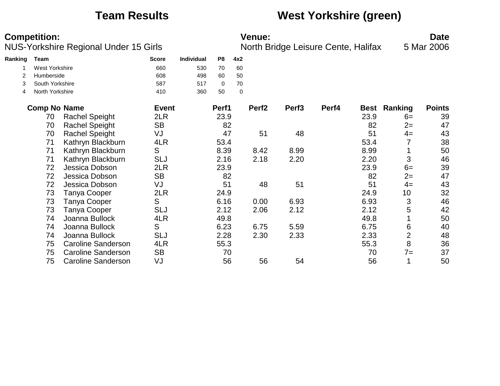## **Team Results West Yorkshire (green)**

|         | <b>Competition:</b>   | NUS-Yorkshire Regional Under 15 Girls |              |                   |             |             | <b>Venue:</b>     | North Bridge Leisure Cente, Halifax |       |             |                | <b>Date</b><br>5 Mar 2006 |
|---------|-----------------------|---------------------------------------|--------------|-------------------|-------------|-------------|-------------------|-------------------------------------|-------|-------------|----------------|---------------------------|
| Ranking | Team                  |                                       | <b>Score</b> | <b>Individual</b> | P8          | 4x2         |                   |                                     |       |             |                |                           |
|         | <b>West Yorkshire</b> |                                       | 660          | 530               | 70          | 60          |                   |                                     |       |             |                |                           |
| 2       | Humberside            |                                       | 608          | 498               | 60          | 50          |                   |                                     |       |             |                |                           |
| 3       | South Yorkshire       |                                       | 587          | 517               | $\mathbf 0$ | 70          |                   |                                     |       |             |                |                           |
| 4       | North Yorkshire       |                                       | 410          | 360               | 50          | $\mathbf 0$ |                   |                                     |       |             |                |                           |
|         | <b>Comp No Name</b>   |                                       | <b>Event</b> |                   | Perf1       |             | Perf <sub>2</sub> | Perf <sub>3</sub>                   | Perf4 | <b>Best</b> | <b>Ranking</b> | <b>Points</b>             |
|         | 70                    | <b>Rachel Speight</b>                 | 2LR          |                   | 23.9        |             |                   |                                     |       | 23.9        | $6=$           | 39                        |
|         | 70                    | <b>Rachel Speight</b>                 | <b>SB</b>    |                   | 82          |             |                   |                                     |       | 82          | $2=$           | 47                        |
|         | 70                    | <b>Rachel Speight</b>                 | VJ           |                   | 47          |             | 51                | 48                                  |       | 51          | $4=$           | 43                        |
|         | 71                    | Kathryn Blackburn                     | 4LR          |                   | 53.4        |             |                   |                                     |       | 53.4        | 7              | 38                        |
|         | 71                    | Kathryn Blackburn                     | S            |                   | 8.39        |             | 8.42              | 8.99                                |       | 8.99        |                | 50                        |
|         | 71                    | Kathryn Blackburn                     | <b>SLJ</b>   |                   | 2.16        |             | 2.18              | 2.20                                |       | 2.20        | 3              | 46                        |
|         | 72                    | Jessica Dobson                        | 2LR          |                   | 23.9        |             |                   |                                     |       | 23.9        | $6=$           | 39                        |
|         | 72                    | Jessica Dobson                        | <b>SB</b>    |                   | 82          |             |                   |                                     |       | 82          | $2=$           | 47                        |
|         | 72                    | Jessica Dobson                        | VJ           |                   | 51          |             | 48                | 51                                  |       | 51          | $4=$           | 43                        |
|         | 73                    | Tanya Cooper                          | 2LR          |                   | 24.9        |             |                   |                                     |       | 24.9        | 10             | 32                        |
|         | 73                    | Tanya Cooper                          | S            |                   | 6.16        |             | 0.00              | 6.93                                |       | 6.93        | 3              | 46                        |
|         | 73                    | <b>Tanya Cooper</b>                   | <b>SLJ</b>   |                   | 2.12        |             | 2.06              | 2.12                                |       | 2.12        | 5              | 42                        |
|         | 74                    | Joanna Bullock                        | 4LR          |                   | 49.8        |             |                   |                                     |       | 49.8        |                | 50                        |
|         | 74                    | Joanna Bullock                        | S            |                   | 6.23        |             | 6.75              | 5.59                                |       | 6.75        | 6              | 40                        |
|         | 74                    | Joanna Bullock                        | <b>SLJ</b>   |                   | 2.28        |             | 2.30              | 2.33                                |       | 2.33        | $\overline{2}$ | 48                        |
|         | 75                    | <b>Caroline Sanderson</b>             | 4LR          |                   | 55.3        |             |                   |                                     |       | 55.3        | 8              | 36                        |
|         | 75                    | <b>Caroline Sanderson</b>             | <b>SB</b>    |                   | 70          |             |                   |                                     |       | 70          | $7=$           | 37                        |
|         | 75                    | <b>Caroline Sanderson</b>             | VJ           |                   | 56          |             | 56                | 54                                  |       | 56          |                | 50                        |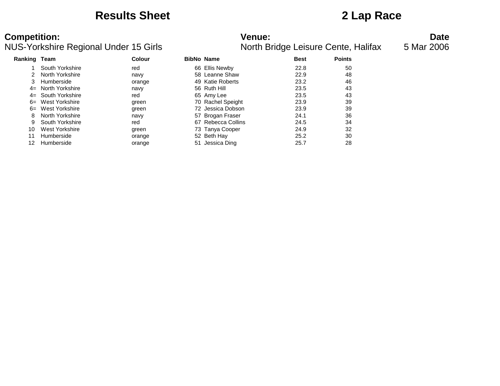## **Results Sheet 2 Lap Race**

### **Competition:**<br>**Date**<br>**NUS-Yorkshire Regional Under 15 Girls Date**<br>**Date Date Date Date Date Date Date Date Date Date Date Date Date Date Date Date Date Date Date Date Date Date** NUS-Yorkshire Regional Under 15 Girls

|              | so Tomormo Rogional Ondor To Omo |               |                    |             | <b>Notar Bridge Leibard Ochte, Hama</b> x |
|--------------|----------------------------------|---------------|--------------------|-------------|-------------------------------------------|
| Ranking Team |                                  | <b>Colour</b> | <b>BibNo Name</b>  | <b>Best</b> | <b>Points</b>                             |
|              | South Yorkshire                  | red           | 66 Ellis Newby     | 22.8        | 50                                        |
| 2            | North Yorkshire                  | navy          | 58 Leanne Shaw     | 22.9        | 48                                        |
| 3            | Humberside                       | orange        | 49 Katie Roberts   | 23.2        | 46                                        |
|              | 4= North Yorkshire               | navy          | 56 Ruth Hill       | 23.5        | 43                                        |
|              | 4= South Yorkshire               | red           | 65 Amy Lee         | 23.5        | 43                                        |
|              | 6= West Yorkshire                | green         | 70 Rachel Speight  | 23.9        | 39                                        |
|              | 6= West Yorkshire                | green         | 72 Jessica Dobson  | 23.9        | 39                                        |
| 8            | North Yorkshire                  | navy          | 57 Brogan Fraser   | 24.1        | 36                                        |
| 9            | South Yorkshire                  | red           | 67 Rebecca Collins | 24.5        | 34                                        |
| 10           | West Yorkshire                   | green         | 73 Tanya Cooper    | 24.9        | 32                                        |
| 11           | Humberside                       | orange        | 52 Beth Hay        | 25.2        | 30                                        |
| 12           | Humberside                       | orange        | 51 Jessica Ding    | 25.7        | 28                                        |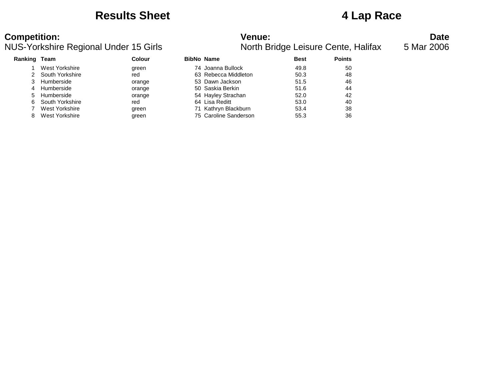## **Results Sheet 4 Lap Race**

| <b>Ranking Team</b> |                   | Colour | <b>BibNo Name</b>     | <b>Best</b> | <b>Points</b> |
|---------------------|-------------------|--------|-----------------------|-------------|---------------|
|                     | West Yorkshire    | green  | 74 Joanna Bullock     | 49.8        | 50            |
|                     | 2 South Yorkshire | red    | 63 Rebecca Middleton  | 50.3        | 48            |
|                     | 3 Humberside      | orange | 53 Dawn Jackson       | 51.5        | 46            |
| 4                   | Humberside        | orange | 50 Saskia Berkin      | 51.6        | 44            |
| 5                   | Humberside        | orange | 54 Hayley Strachan    | 52.0        | 42            |
| 6.                  | South Yorkshire   | red    | 64 Lisa Reditt        | 53.0        | 40            |
|                     | West Yorkshire    | green  | 71 Kathryn Blackburn  | 53.4        | 38            |
| 8                   | West Yorkshire    | green  | 75 Caroline Sanderson | 55.3        | 36            |
|                     |                   |        |                       |             |               |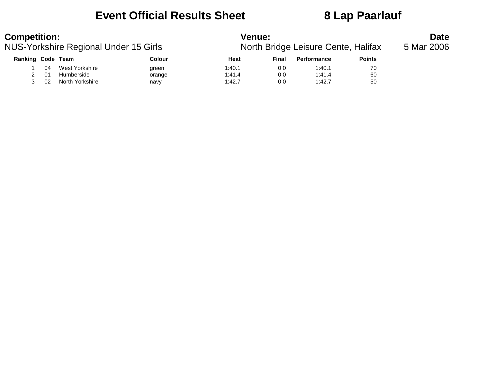## **Event Official Results Sheet 8 Lap Paarlauf**

| <b>Competition:</b><br>NUS-Yorkshire Regional Under 15 Girls |    |                 | <b>Venue:</b><br>North Bridge Leisure Cente, Halifax | <b>Date</b><br>5 Mar 2006 |       |                    |               |  |
|--------------------------------------------------------------|----|-----------------|------------------------------------------------------|---------------------------|-------|--------------------|---------------|--|
| Ranking Code Team                                            |    |                 | Colour                                               | Heat                      | Final | <b>Performance</b> | <b>Points</b> |  |
|                                                              | 04 | West Yorkshire  | green                                                | 1:40.1                    | 0.0   | 1:40.1             | 70            |  |
|                                                              | 01 | Humberside      | orange                                               | 1:41.4                    | 0.0   | 1:41.4             | 60            |  |
|                                                              | 02 | North Yorkshire | navy                                                 | 1:42.7                    | 0.0   | 1:42.7             | 50            |  |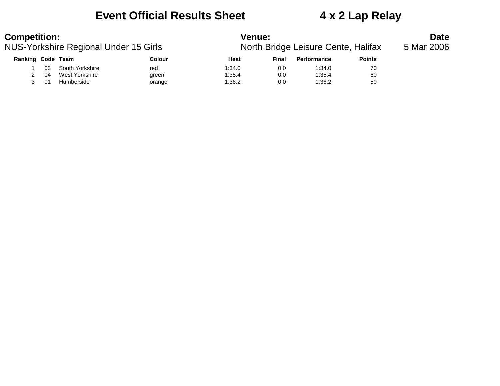## **Event Official Results Sheet 4 x 2 Lap Relay**

| <b>Competition:</b><br>NUS-Yorkshire Regional Under 15 Girls |    |                 | <b>Venue:</b><br>North Bridge Leisure Cente, Halifax | <b>Date</b><br>5 Mar 2006 |       |                    |               |  |
|--------------------------------------------------------------|----|-----------------|------------------------------------------------------|---------------------------|-------|--------------------|---------------|--|
| Ranking Code Team                                            |    |                 | Colour                                               | Heat                      | Final | <b>Performance</b> | <b>Points</b> |  |
|                                                              | 03 | South Yorkshire | red                                                  | 1:34.0                    | 0.0   | 1:34.0             | 70            |  |
|                                                              | 04 | West Yorkshire  | green                                                | 1:35.4                    | 0.0   | 1:35.4             | 60            |  |
|                                                              | 01 | Humberside      | orange                                               | 1:36.2                    | 0.0   | 1:36.2             | 50            |  |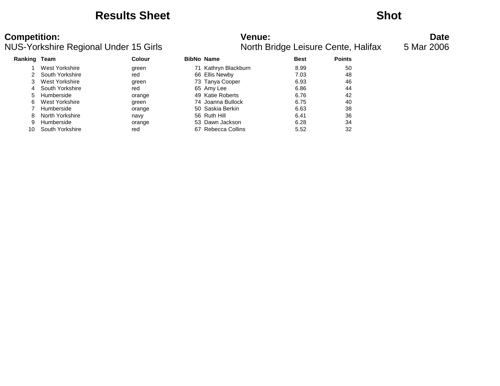## **Results Sheet Shot**

| Ranking | Team            | <b>Colour</b> |    | <b>BibNo Name</b>    | <b>Best</b> | <b>Points</b> |
|---------|-----------------|---------------|----|----------------------|-------------|---------------|
|         | West Yorkshire  | green         |    | 71 Kathryn Blackburn | 8.99        | 50            |
|         | South Yorkshire | red           |    | 66 Ellis Newby       | 7.03        | 48            |
| 3       | West Yorkshire  | green         |    | 73 Tanya Cooper      | 6.93        | 46            |
| 4       | South Yorkshire | red           |    | 65 Amy Lee           | 6.86        | 44            |
| 5.      | Humberside      | orange        |    | 49 Katie Roberts     | 6.76        | 42            |
| 6       | West Yorkshire  | green         |    | 74 Joanna Bullock    | 6.75        | 40            |
|         | Humberside      | orange        |    | 50 Saskia Berkin     | 6.63        | 38            |
| 8       | North Yorkshire | navy          |    | 56 Ruth Hill         | 6.41        | 36            |
| 9       | Humberside      | orange        |    | 53 Dawn Jackson      | 6.28        | 34            |
|         | South Yorkshire | red           | 67 | Rebecca Collins      | 5.52        | 32            |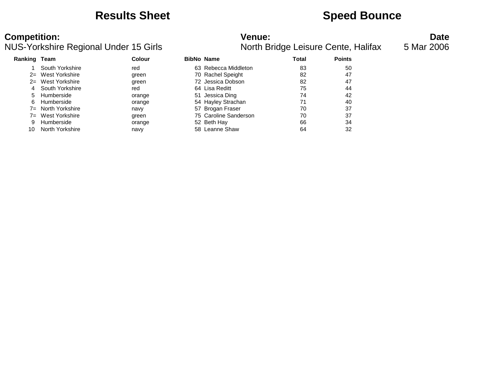## **Results Sheet Speed Bounce**

| 'enue: |                         |  |
|--------|-------------------------|--|
|        | lorth Bridge Leisure Ce |  |

| <b>Ranking Team</b> |                 | Colour | <b>BibNo Name</b>     | Total | <b>Points</b> |
|---------------------|-----------------|--------|-----------------------|-------|---------------|
|                     | South Yorkshire | red    | 63 Rebecca Middleton  | 83    | 50            |
| $2=$                | West Yorkshire  | green  | 70 Rachel Speight     | 82    | 47            |
| $2=$                | West Yorkshire  | green  | 72 Jessica Dobson     | 82    | 47            |
| 4                   | South Yorkshire | red    | 64 Lisa Reditt        | 75    | 44            |
| 5                   | Humberside      | orange | 51 Jessica Ding       | 74    | 42            |
| 6                   | Humberside      | orange | 54 Hayley Strachan    | 71    | 40            |
| $7 =$               | North Yorkshire | navy   | 57 Brogan Fraser      | 70    | 37            |
| $7 =$               | West Yorkshire  | green  | 75 Caroline Sanderson | 70    | 37            |
| 9                   | Humberside      | orange | 52 Beth Hay           | 66    | 34            |
| 10                  | North Yorkshire | navy   | 58 Leanne Shaw        | 64    | 32            |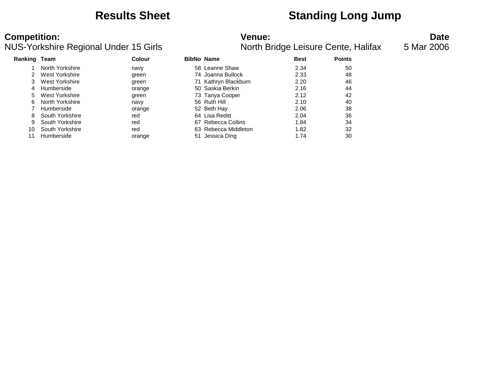## **Results Sheet Standing Long Jump**

### **Competition:**<br>**Date**<br>Nunder 15 Girls **Venue: Participal Under 15 Girls Participal Proof the Bridge Leisure Cente, Halifax 5 Mar 2006** NUS-Yorkshire Regional Under 15 Girls

| Ranking | Team            | Colour | <b>BibNo Name</b> |                      | <b>Best</b> | <b>Points</b> |
|---------|-----------------|--------|-------------------|----------------------|-------------|---------------|
|         | North Yorkshire | navy   |                   | 58 Leanne Shaw       | 2.34        | 50            |
|         | West Yorkshire  | green  |                   | 74 Joanna Bullock    | 2.33        | 48            |
|         | West Yorkshire  | green  |                   | 71 Kathryn Blackburn | 2.20        | 46            |
| 4       | Humberside      | orange |                   | 50 Saskia Berkin     | 2.16        | 44            |
| 5.      | West Yorkshire  | green  |                   | 73 Tanya Cooper      | 2.12        | 42            |
| 6.      | North Yorkshire | navy   |                   | 56 Ruth Hill         | 2.10        | 40            |
|         | Humberside      | orange |                   | 52 Beth Hay          | 2.06        | 38            |
| 8       | South Yorkshire | red    |                   | 64 Lisa Reditt       | 2.04        | 36            |
| 9       | South Yorkshire | red    |                   | 67 Rebecca Collins   | 1.84        | 34            |
| 10      | South Yorkshire | red    |                   | 63 Rebecca Middleton | 1.82        | 32            |
|         | Humberside      | orange | 51                | Jessica Ding         | 1.74        | 30            |